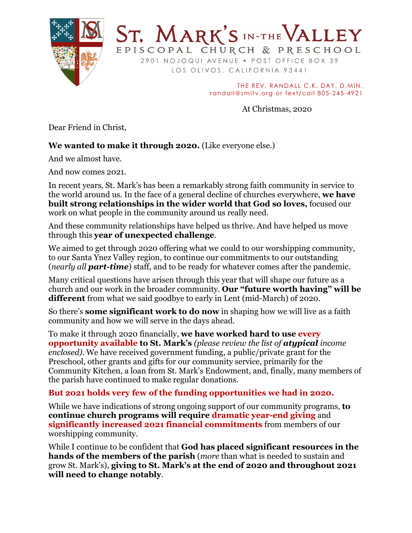

2901 NOJOQUI AVENUE . POST OFFICE BOX 39 LOS OLIVOS, CALIFORNIA 93441

ST. MARK'S IN-THE VALLEY

EPISCOPAL CHURCH & PRESCHOOL

THE REV. RANDALL C.K. DAY, D.MIN. randall@smitv.org or text/call 805-245-4921

At Christmas, 2020

Dear Friend in Christ,

## **We wanted to make it through 2020.** (Like everyone else.)

And we almost have.

And now comes 2021.

In recent years, St. Mark's has been a remarkably strong faith community in service to the world around us. In the face of a general decline of churches everywhere, **we have built strong relationships in the wider world that God so loves,** focused our work on what people in the community around us really need.

And these community relationships have helped us thrive. And have helped us move through this **year of unexpected challenge**.

We aimed to get through 2020 offering what we could to our worshipping community, to our Santa Ynez Valley region, to continue our commitments to our outstanding (*nearly all part-time*) staff, and to be ready for whatever comes after the pandemic.

Many critical questions have arisen through this year that will shape our future as a church and our work in the broader community. **Our "future worth having" will be different** from what we said goodbye to early in Lent (mid-March) of 2020.

So there's **some significant work to do now** in shaping how we will live as a faith community and how we will serve in the days ahead.

To make it through 2020 financially, **we have worked hard to use every opportunity available to St. Mark's** *(please review the list of atypical income enclosed)*. We have received government funding, a public/private grant for the Preschool, other grants and gifts for our community service, primarily for the Community Kitchen, a loan from St. Mark's Endowment, and, finally, many members of the parish have continued to make regular donations.

## **But 2021 holds very few of the funding opportunities we had in 2020.**

While we have indications of strong ongoing support of our community programs, **to continue church programs will require dramatic year-end giving** and **significantly increased 2021 financial commitments** from members of our worshipping community.

While I continue to be confident that **God has placed significant resources in the hands of the members of the parish** (*more* than what is needed to sustain and grow St. Mark's), **giving to St. Mark's at the end of 2020 and throughout 2021 will need to change notably**.